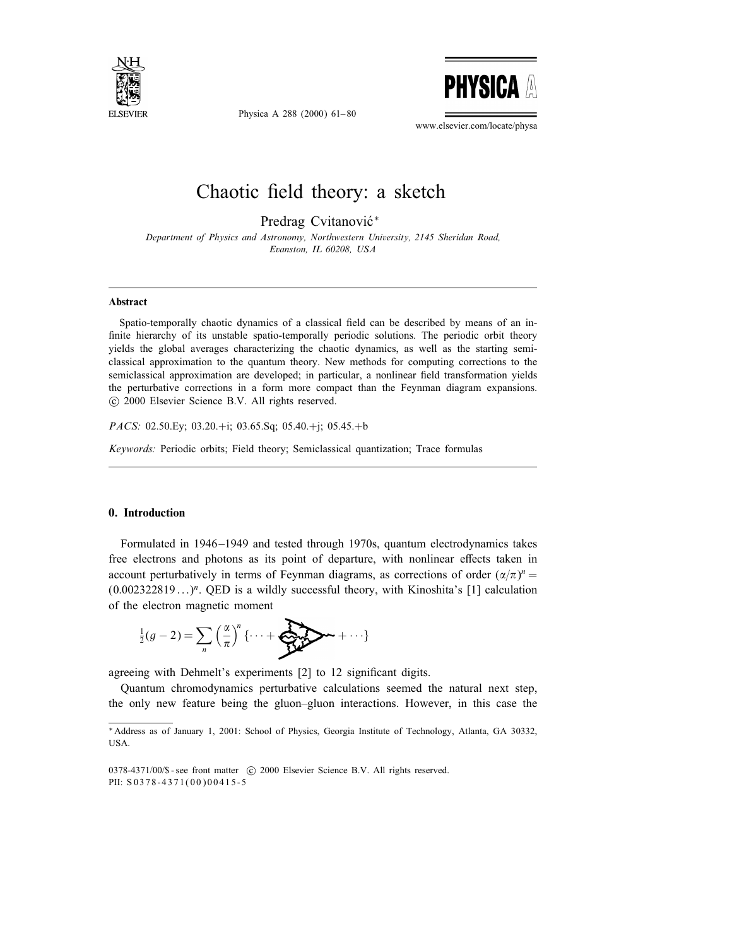

Physica A 288 (2000) 61– 80



www.elsevier.com/locate/physa

# Chaotic field theory: a sketch

Predrag Cvitanović\*

Department of Physics and Astronomy, Northwestern University, 2145 Sheridan Road, Evanston, IL 60208, USA

#### Abstract

Spatio-temporally chaotic dynamics of a classical field can be described by means of an infinite hierarchy of its unstable spatio-temporally periodic solutions. The periodic orbit theory yields the global averages characterizing the chaotic dynamics, as well as the starting semiclassical approximation to the quantum theory. New methods for computing corrections to the semiclassical approximation are developed; in particular, a nonlinear field transformation yields the perturbative corrections in a form more compact than the Feynman diagram expansions. c 2000 Elsevier Science B.V. All rights reserved.

PACS: 02.50.Ey; 03.20.+i; 03.65.Sq; 05.40.+j; 05.45.+b

Keywords: Periodic orbits; Field theory; Semiclassical quantization; Trace formulas

# 0. Introduction

Formulated in 1946 –1949 and tested through 1970s, quantum electrodynamics takes free electrons and photons as its point of departure, with nonlinear effects taken in account perturbatively in terms of Feynman diagrams, as corrections of order  $(\alpha/\pi)^n =$  $(0.002322819...)$ <sup>n</sup>. OED is a wildly successful theory, with Kinoshita's [1] calculation of the electron magnetic moment

$$
\frac{1}{2}(g-2) = \sum_{n} \left(\frac{\alpha}{\pi}\right)^n \left\{ \cdots + \sum_{n=1}^{\infty} \alpha_n + \cdots \right\}
$$

agreeing with Dehmelt's experiments [2] to 12 significant digits.

Quantum chromodynamics perturbative calculations seemed the natural next step, the only new feature being the gluon–gluon interactions. However, in this case the

<sup>∗</sup>Address as of January 1, 2001: School of Physics, Georgia Institute of Technology, Atlanta, GA 30332, USA.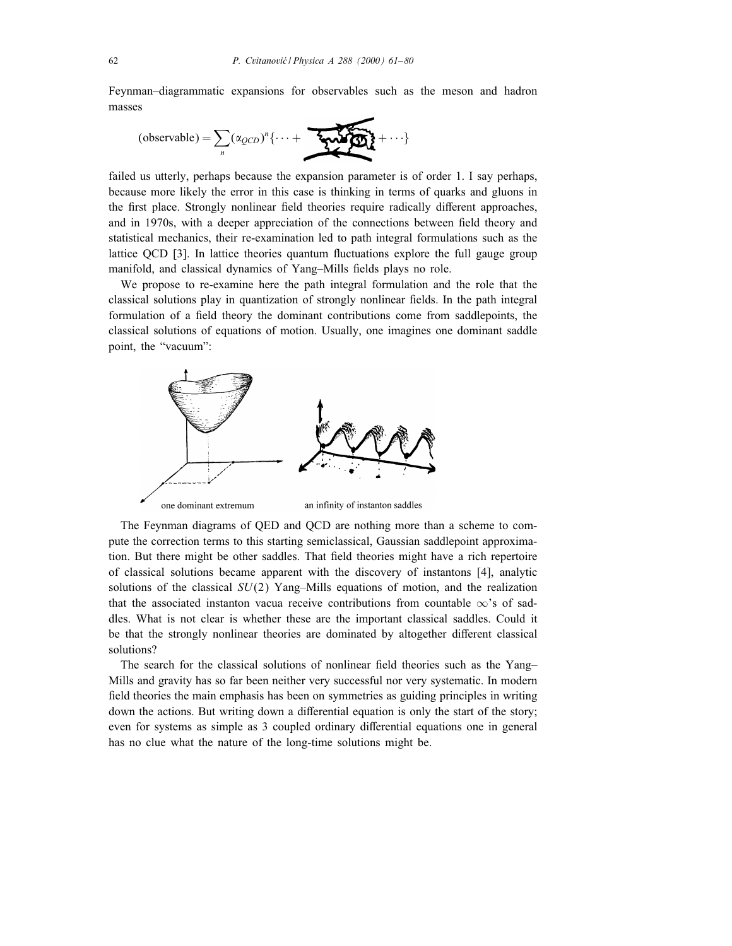Feynman–diagrammatic expansions for observables such as the meson and hadron masses

$$
(\text{observable}) = \sum_{n} (\alpha_{QCD})^n \{ \cdots + \sum_{n} \alpha_n \}
$$

failed us utterly, perhaps because the expansion parameter is of order 1. I say perhaps, because more likely the error in this case is thinking in terms of quarks and gluons in the first place. Strongly nonlinear field theories require radically different approaches, and in 1970s, with a deeper appreciation of the connections between field theory and statistical mechanics, their re-examination led to path integral formulations such as the lattice QCD [3]. In lattice theories quantum fluctuations explore the full gauge group manifold, and classical dynamics of Yang-Mills fields plays no role.

We propose to re-examine here the path integral formulation and the role that the classical solutions play in quantization of strongly nonlinear fields. In the path integral formulation of a field theory the dominant contributions come from saddlepoints, the classical solutions of equations of motion. Usually, one imagines one dominant saddle point, the "vacuum":



The Feynman diagrams of QED and QCD are nothing more than a scheme to compute the correction terms to this starting semiclassical, Gaussian saddlepoint approximation. But there might be other saddles. That field theories might have a rich repertoire of classical solutions became apparent with the discovery of instantons [4], analytic solutions of the classical  $SU(2)$  Yang–Mills equations of motion, and the realization that the associated instanton vacua receive contributions from countable  $\infty$ 's of saddles. What is not clear is whether these are the important classical saddles. Could it be that the strongly nonlinear theories are dominated by altogether different classical solutions?

The search for the classical solutions of nonlinear field theories such as the Yang– Mills and gravity has so far been neither very successful nor very systematic. In modern field theories the main emphasis has been on symmetries as guiding principles in writing down the actions. But writing down a differential equation is only the start of the story; even for systems as simple as 3 coupled ordinary differential equations one in general has no clue what the nature of the long-time solutions might be.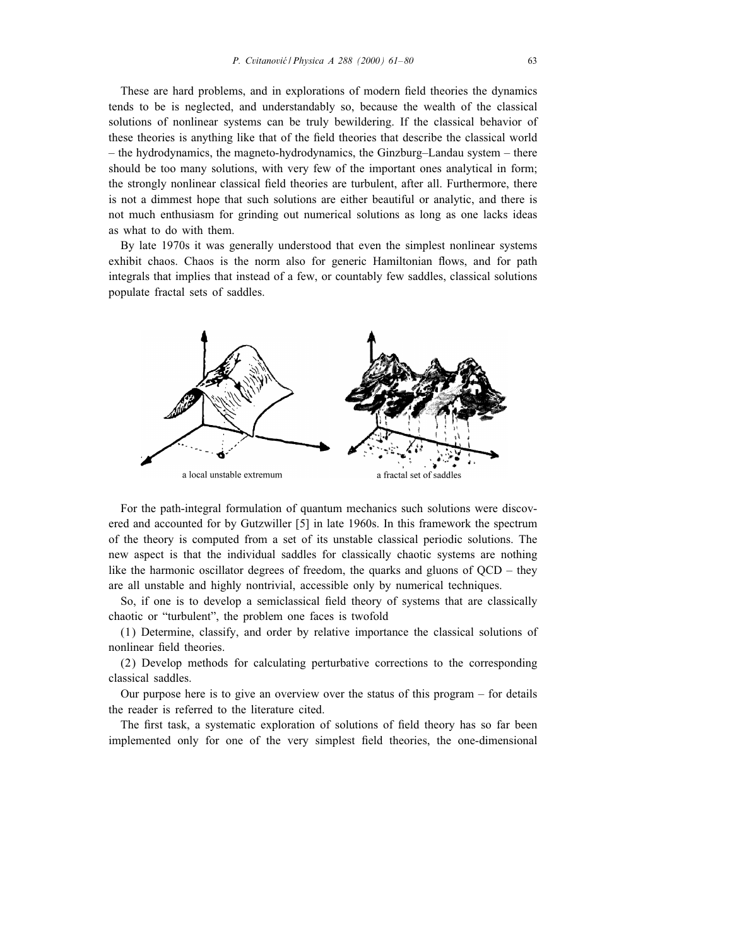These are hard problems, and in explorations of modern field theories the dynamics tends to be is neglected, and understandably so, because the wealth of the classical solutions of nonlinear systems can be truly bewildering. If the classical behavior of these theories is anything like that of the field theories that describe the classical world – the hydrodynamics, the magneto-hydrodynamics, the Ginzburg–Landau system – there should be too many solutions, with very few of the important ones analytical in form; the strongly nonlinear classical field theories are turbulent, after all. Furthermore, there is not a dimmest hope that such solutions are either beautiful or analytic, and there is not much enthusiasm for grinding out numerical solutions as long as one lacks ideas as what to do with them.

By late 1970s it was generally understood that even the simplest nonlinear systems exhibit chaos. Chaos is the norm also for generic Hamiltonian flows, and for path integrals that implies that instead of a few, or countably few saddles, classical solutions populate fractal sets of saddles.



For the path-integral formulation of quantum mechanics such solutions were discovered and accounted for by Gutzwiller [5] in late 1960s. In this framework the spectrum of the theory is computed from a set of its unstable classical periodic solutions. The new aspect is that the individual saddles for classically chaotic systems are nothing like the harmonic oscillator degrees of freedom, the quarks and gluons of QCD – they are all unstable and highly nontrivial, accessible only by numerical techniques.

So, if one is to develop a semiclassical field theory of systems that are classically chaotic or "turbulent", the problem one faces is twofold

(1) Determine, classify, and order by relative importance the classical solutions of nonlinear field theories.

(2) Develop methods for calculating perturbative corrections to the corresponding classical saddles.

Our purpose here is to give an overview over the status of this program – for details the reader is referred to the literature cited.

The first task, a systematic exploration of solutions of field theory has so far been implemented only for one of the very simplest field theories, the one-dimensional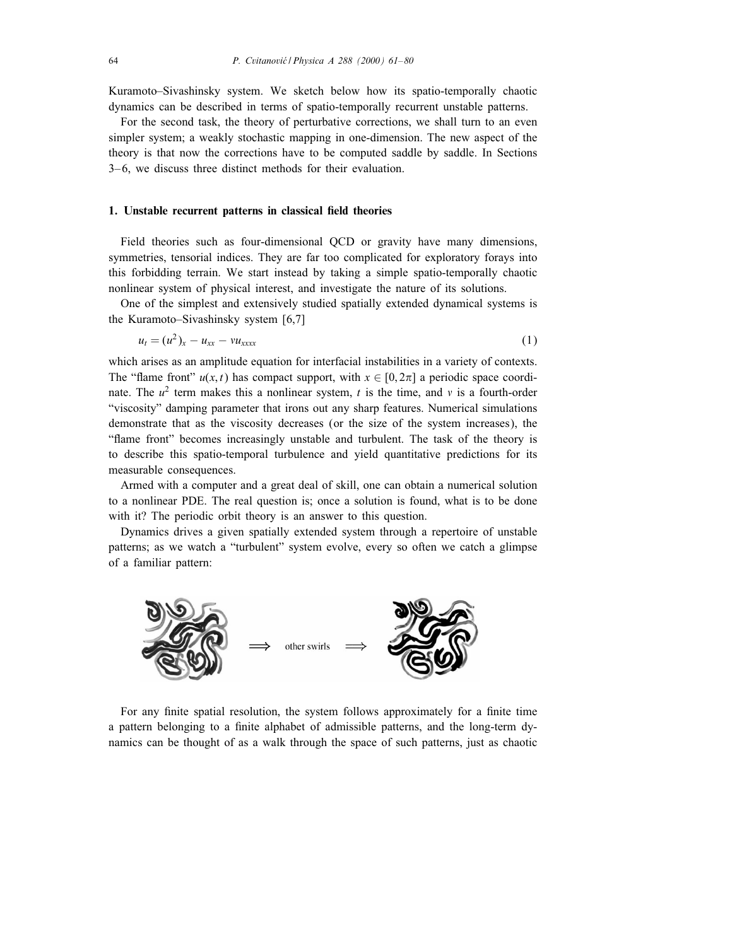Kuramoto–Sivashinsky system. We sketch below how its spatio-temporally chaotic dynamics can be described in terms of spatio-temporally recurrent unstable patterns.

For the second task, the theory of perturbative corrections, we shall turn to an even simpler system; a weakly stochastic mapping in one-dimension. The new aspect of the theory is that now the corrections have to be computed saddle by saddle. In Sections 3– 6, we discuss three distinct methods for their evaluation.

# 1. Unstable recurrent patterns in classical field theories

Field theories such as four-dimensional QCD or gravity have many dimensions, symmetries, tensorial indices. They are far too complicated for exploratory forays into this forbidding terrain. We start instead by taking a simple spatio-temporally chaotic nonlinear system of physical interest, and investigate the nature of its solutions.

One of the simplest and extensively studied spatially extended dynamical systems is the Kuramoto–Sivashinsky system [6,7]

$$
u_t = (u^2)_x - u_{xx} - v u_{xxxx} \tag{1}
$$

which arises as an amplitude equation for interfacial instabilities in a variety of contexts. The "flame front"  $u(x, t)$  has compact support, with  $x \in [0, 2\pi]$  a periodic space coordinate. The  $u^2$  term makes this a nonlinear system, t is the time, and v is a fourth-order "viscosity" damping parameter that irons out any sharp features. Numerical simulations demonstrate that as the viscosity decreases (or the size of the system increases), the "
ame front" becomes increasingly unstable and turbulent. The task of the theory is to describe this spatio-temporal turbulence and yield quantitative predictions for its measurable consequences.

Armed with a computer and a great deal of skill, one can obtain a numerical solution to a nonlinear PDE. The real question is; once a solution is found, what is to be done with it? The periodic orbit theory is an answer to this question.

Dynamics drives a given spatially extended system through a repertoire of unstable patterns; as we watch a "turbulent" system evolve, every so often we catch a glimpse of a familiar pattern:



For any finite spatial resolution, the system follows approximately for a finite time a pattern belonging to a finite alphabet of admissible patterns, and the long-term dynamics can be thought of as a walk through the space of such patterns, just as chaotic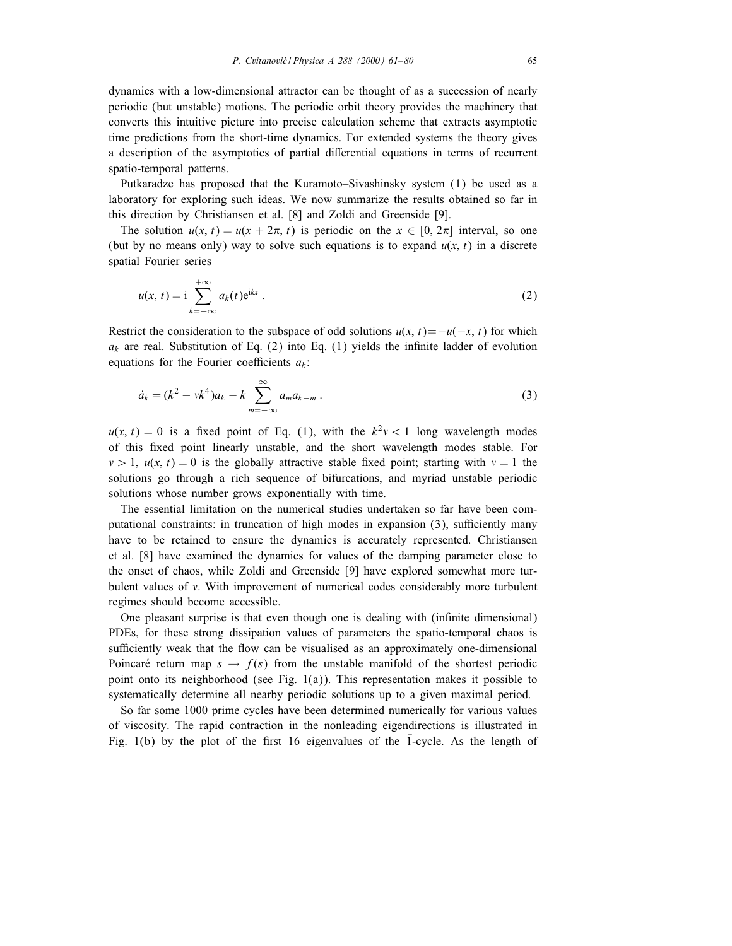dynamics with a low-dimensional attractor can be thought of as a succession of nearly periodic (but unstable) motions. The periodic orbit theory provides the machinery that converts this intuitive picture into precise calculation scheme that extracts asymptotic time predictions from the short-time dynamics. For extended systems the theory gives a description of the asymptotics of partial differential equations in terms of recurrent spatio-temporal patterns.

Putkaradze has proposed that the Kuramoto–Sivashinsky system (1) be used as a laboratory for exploring such ideas. We now summarize the results obtained so far in this direction by Christiansen et al. [8] and Zoldi and Greenside [9].

The solution  $u(x, t) = u(x + 2\pi, t)$  is periodic on the  $x \in [0, 2\pi]$  interval, so one (but by no means only) way to solve such equations is to expand  $u(x, t)$  in a discrete spatial Fourier series

$$
u(x, t) = \mathbf{i} \sum_{k=-\infty}^{+\infty} a_k(t) \mathbf{e}^{\mathbf{i}kx} \,. \tag{2}
$$

Restrict the consideration to the subspace of odd solutions  $u(x, t) = -u(-x, t)$  for which  $a_k$  are real. Substitution of Eq. (2) into Eq. (1) yields the infinite ladder of evolution equations for the Fourier coefficients  $a_k$ :

$$
\dot{a}_k = (k^2 - v k^4) a_k - k \sum_{m = -\infty}^{\infty} a_m a_{k-m} \,. \tag{3}
$$

 $u(x, t) = 0$  is a fixed point of Eq. (1), with the  $k^2v < 1$  long wavelength modes of this fixed point linearly unstable, and the short wavelength modes stable. For  $v > 1$ ,  $u(x, t) = 0$  is the globally attractive stable fixed point; starting with  $v = 1$  the solutions go through a rich sequence of bifurcations, and myriad unstable periodic solutions whose number grows exponentially with time.

The essential limitation on the numerical studies undertaken so far have been computational constraints: in truncation of high modes in expansion (3), sufficiently many have to be retained to ensure the dynamics is accurately represented. Christiansen et al. [8] have examined the dynamics for values of the damping parameter close to the onset of chaos, while Zoldi and Greenside [9] have explored somewhat more turbulent values of  $v$ . With improvement of numerical codes considerably more turbulent regimes should become accessible.

One pleasant surprise is that even though one is dealing with (infinite dimensional) PDEs, for these strong dissipation values of parameters the spatio-temporal chaos is sufficiently weak that the flow can be visualised as an approximately one-dimensional Poincaré return map  $s \to f(s)$  from the unstable manifold of the shortest periodic point onto its neighborhood (see Fig.  $1(a)$ ). This representation makes it possible to systematically determine all nearby periodic solutions up to a given maximal period.

So far some 1000 prime cycles have been determined numerically for various values of viscosity. The rapid contraction in the nonleading eigendirections is illustrated in Fig.  $1(b)$  by the plot of the first 16 eigenvalues of the 1-cycle. As the length of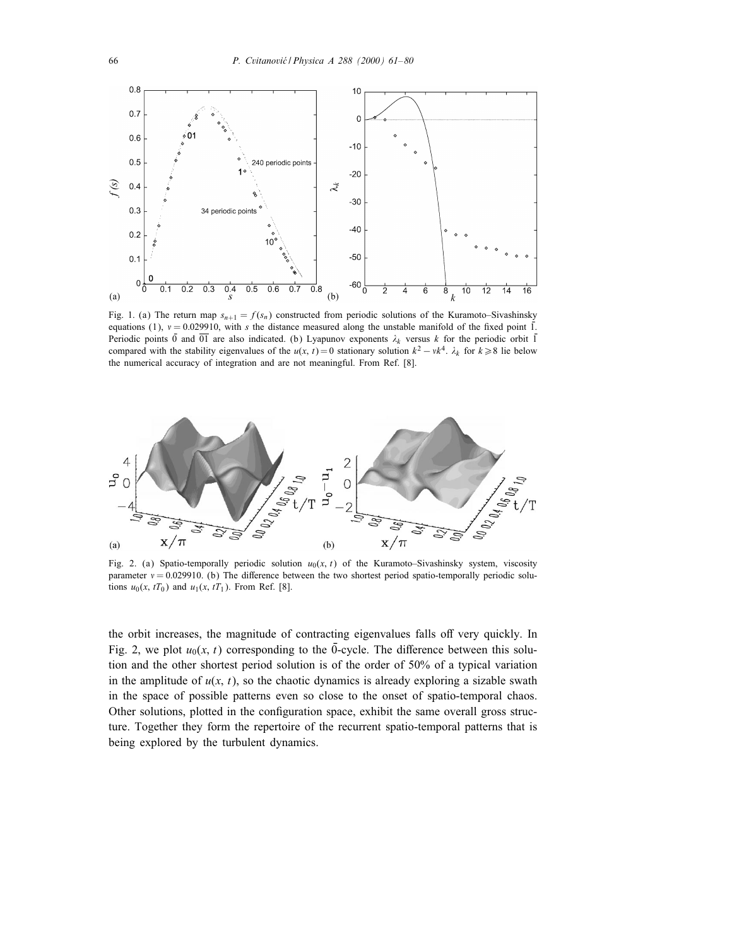

Fig. 1. (a) The return map  $s_{n+1} = f(s_n)$  constructed from periodic solutions of the Kuramoto–Sivashinsky equations (1),  $v = 0.029910$ , with s the distance measured along the unstable manifold of the fixed point  $\overline{1}$ . Periodic points  $\overline{0}$  and  $\overline{01}$  are also indicated. (b) Lyapunov exponents  $\lambda_k$  versus k for the periodic orbit  $\overline{1}$ compared with the stability eigenvalues of the  $u(x, t) = 0$  stationary solution  $k^2 - vk^4$ .  $\lambda_k$  for  $k \ge 8$  lie below the numerical accuracy of integration and are not meaningful. From Ref. [8].



Fig. 2. (a) Spatio-temporally periodic solution  $u_0(x, t)$  of the Kuramoto–Sivashinsky system, viscosity parameter  $v = 0.029910$ . (b) The difference between the two shortest period spatio-temporally periodic solutions  $u_0(x, tT_0)$  and  $u_1(x, tT_1)$ . From Ref. [8].

the orbit increases, the magnitude of contracting eigenvalues falls off very quickly. In Fig. 2, we plot  $u_0(x, t)$  corresponding to the 0-cycle. The difference between this solution and the other shortest period solution is of the order of 50% of a typical variation in the amplitude of  $u(x, t)$ , so the chaotic dynamics is already exploring a sizable swath in the space of possible patterns even so close to the onset of spatio-temporal chaos. Other solutions, plotted in the configuration space, exhibit the same overall gross structure. Together they form the repertoire of the recurrent spatio-temporal patterns that is being explored by the turbulent dynamics.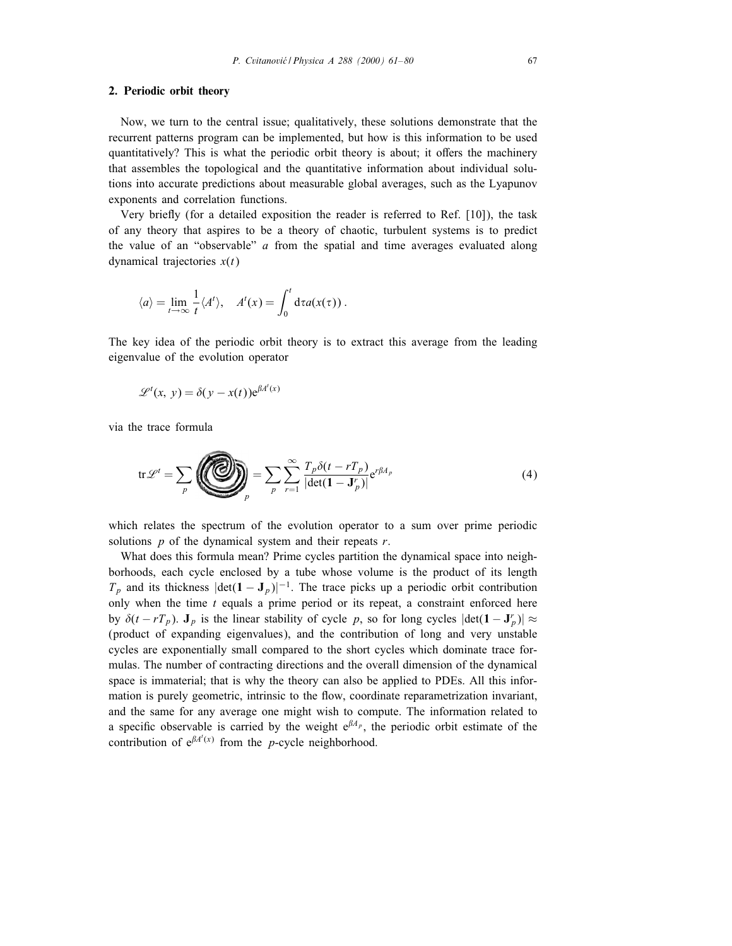### 2. Periodic orbit theory

Now, we turn to the central issue; qualitatively, these solutions demonstrate that the recurrent patterns program can be implemented, but how is this information to be used quantitatively? This is what the periodic orbit theory is about; it offers the machinery that assembles the topological and the quantitative information about individual solutions into accurate predictions about measurable global averages, such as the Lyapunov exponents and correlation functions.

Very briefly (for a detailed exposition the reader is referred to Ref. [10]), the task of any theory that aspires to be a theory of chaotic, turbulent systems is to predict the value of an "observable"  $a$  from the spatial and time averages evaluated along dynamical trajectories  $x(t)$ 

$$
\langle a \rangle = \lim_{t \to \infty} \frac{1}{t} \langle A^t \rangle, \quad A^t(x) = \int_0^t d\tau a(x(\tau)).
$$

The key idea of the periodic orbit theory is to extract this average from the leading eigenvalue of the evolution operator

$$
\mathcal{L}^{t}(x, y) = \delta(y - x(t))e^{\beta A^{t}(x)}
$$

via the trace formula

$$
\operatorname{tr}\mathscr{L}^t = \sum_{p} \left( \sum_{p} \sum_{p} \sum_{r=1}^{\infty} \frac{T_p \delta(t - rT_p)}{|\det(\mathbf{1} - \mathbf{J}_p^r)|} e^{r\beta A_p} \right) \tag{4}
$$

which relates the spectrum of the evolution operator to a sum over prime periodic solutions  $p$  of the dynamical system and their repeats  $r$ .

What does this formula mean? Prime cycles partition the dynamical space into neighborhoods, each cycle enclosed by a tube whose volume is the product of its length  $T_p$  and its thickness  $|\text{det}(\mathbf{1} - \mathbf{J}_p)|^{-1}$ . The trace picks up a periodic orbit contribution only when the time  $t$  equals a prime period or its repeat, a constraint enforced here by  $\delta(t - rT_p)$ .  $\mathbf{J}_p$  is the linear stability of cycle p, so for long cycles  $|\det(\mathbf{1} - \mathbf{J}_p^r)| \approx$ (product of expanding eigenvalues), and the contribution of long and very unstable cycles are exponentially small compared to the short cycles which dominate trace formulas. The number of contracting directions and the overall dimension of the dynamical space is immaterial; that is why the theory can also be applied to PDEs. All this information is purely geometric, intrinsic to the flow, coordinate reparametrization invariant, and the same for any average one might wish to compute. The information related to a specific observable is carried by the weight  $e^{\beta A_p}$ , the periodic orbit estimate of the contribution of  $e^{\beta A'(x)}$  from the *p*-cycle neighborhood.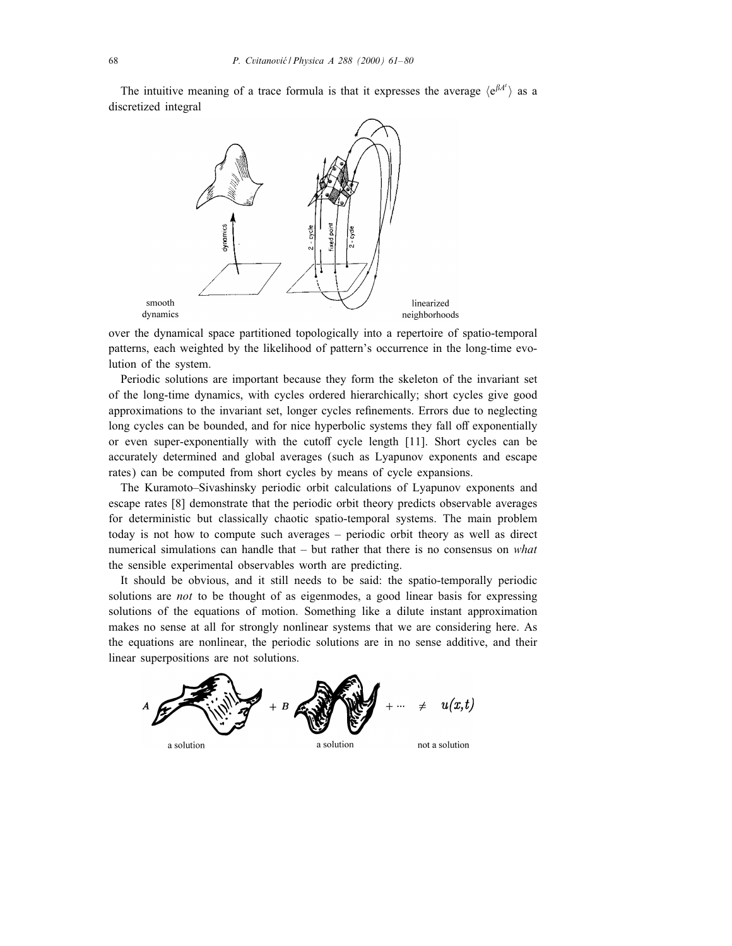The intuitive meaning of a trace formula is that it expresses the average  $\langle e^{\beta A'} \rangle$  as a discretized integral



over the dynamical space partitioned topologically into a repertoire of spatio-temporal patterns, each weighted by the likelihood of pattern's occurrence in the long-time evolution of the system.

Periodic solutions are important because they form the skeleton of the invariant set of the long-time dynamics, with cycles ordered hierarchically; short cycles give good approximations to the invariant set, longer cycles refinements. Errors due to neglecting long cycles can be bounded, and for nice hyperbolic systems they fall off exponentially or even super-exponentially with the cutoff cycle length [11]. Short cycles can be accurately determined and global averages (such as Lyapunov exponents and escape rates) can be computed from short cycles by means of cycle expansions.

The Kuramoto–Sivashinsky periodic orbit calculations of Lyapunov exponents and escape rates [8] demonstrate that the periodic orbit theory predicts observable averages for deterministic but classically chaotic spatio-temporal systems. The main problem today is not how to compute such averages – periodic orbit theory as well as direct numerical simulations can handle that  $-$  but rather that there is no consensus on *what* the sensible experimental observables worth are predicting.

It should be obvious, and it still needs to be said: the spatio-temporally periodic solutions are *not* to be thought of as eigenmodes, a good linear basis for expressing solutions of the equations of motion. Something like a dilute instant approximation makes no sense at all for strongly nonlinear systems that we are considering here. As the equations are nonlinear, the periodic solutions are in no sense additive, and their linear superpositions are not solutions.

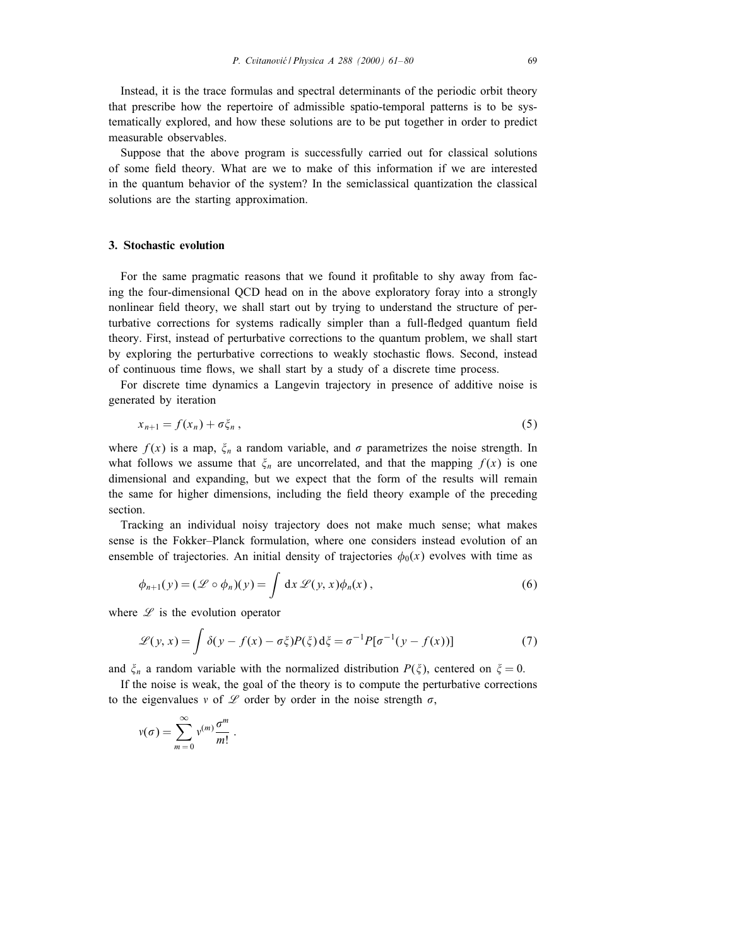Instead, it is the trace formulas and spectral determinants of the periodic orbit theory that prescribe how the repertoire of admissible spatio-temporal patterns is to be systematically explored, and how these solutions are to be put together in order to predict measurable observables.

Suppose that the above program is successfully carried out for classical solutions of some field theory. What are we to make of this information if we are interested in the quantum behavior of the system? In the semiclassical quantization the classical solutions are the starting approximation.

## 3. Stochastic evolution

For the same pragmatic reasons that we found it profitable to shy away from facing the four-dimensional QCD head on in the above exploratory foray into a strongly nonlinear field theory, we shall start out by trying to understand the structure of perturbative corrections for systems radically simpler than a full-fledged quantum field theory. First, instead of perturbative corrections to the quantum problem, we shall start by exploring the perturbative corrections to weakly stochastic flows. Second, instead of continuous time flows, we shall start by a study of a discrete time process.

For discrete time dynamics a Langevin trajectory in presence of additive noise is generated by iteration

$$
x_{n+1} = f(x_n) + \sigma \xi_n, \qquad (5)
$$

where  $f(x)$  is a map,  $\xi_n$  a random variable, and  $\sigma$  parametrizes the noise strength. In what follows we assume that  $\xi_n$  are uncorrelated, and that the mapping  $f(x)$  is one dimensional and expanding, but we expect that the form of the results will remain the same for higher dimensions, including the field theory example of the preceding section.

Tracking an individual noisy trajectory does not make much sense; what makes sense is the Fokker–Planck formulation, where one considers instead evolution of an ensemble of trajectories. An initial density of trajectories  $\phi_0(x)$  evolves with time as

$$
\phi_{n+1}(y) = (\mathcal{L} \circ \phi_n)(y) = \int dx \, \mathcal{L}(y, x) \phi_n(x) , \qquad (6)
$$

where  $\mathscr L$  is the evolution operator

$$
\mathcal{L}(y, x) = \int \delta(y - f(x) - \sigma \xi) P(\xi) d\xi = \sigma^{-1} P[\sigma^{-1}(y - f(x))]
$$
(7)

and  $\zeta_n$  a random variable with the normalized distribution  $P(\zeta)$ , centered on  $\zeta = 0$ .

If the noise is weak, the goal of the theory is to compute the perturbative corrections to the eigenvalues v of  $\mathscr L$  order by order in the noise strength  $\sigma$ ,

$$
v(\sigma)=\sum_{m=0}^{\infty}v^{(m)}\frac{\sigma^m}{m!}.
$$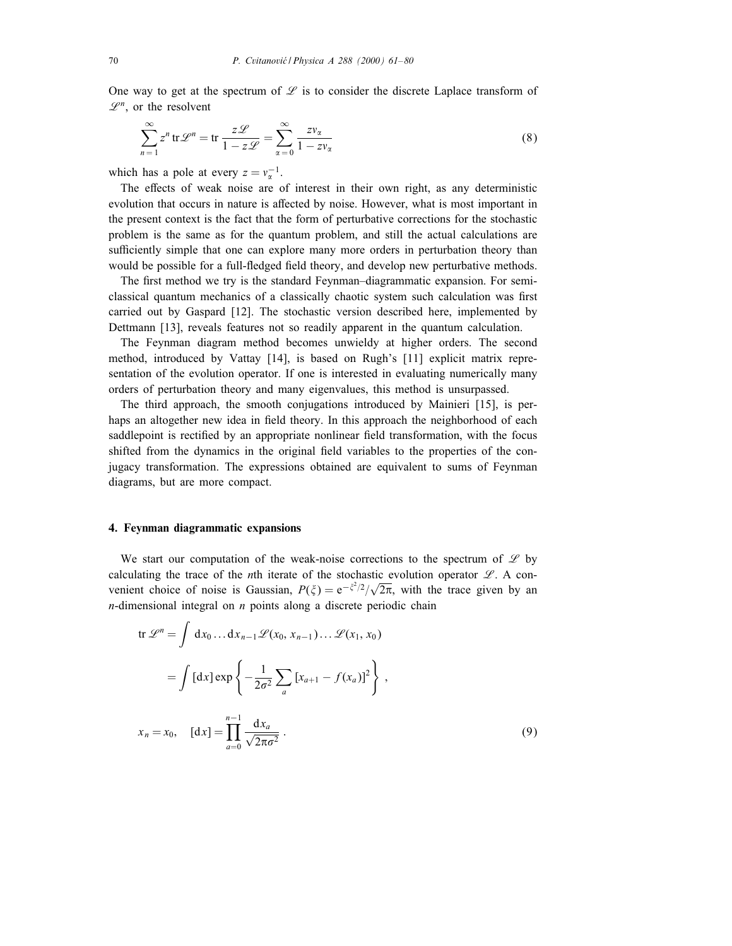One way to get at the spectrum of  $\mathscr L$  is to consider the discrete Laplace transform of  $\mathscr{L}^n$ , or the resolvent

$$
\sum_{n=1}^{\infty} z^n \operatorname{tr} \mathscr{L}^n = \operatorname{tr} \frac{z \mathscr{L}}{1 - z \mathscr{L}} = \sum_{\alpha=0}^{\infty} \frac{z v_{\alpha}}{1 - z v_{\alpha}}
$$
(8)

which has a pole at every  $z = v_\alpha^{-1}$ .

The effects of weak noise are of interest in their own right, as any deterministic evolution that occurs in nature is affected by noise. However, what is most important in the present context is the fact that the form of perturbative corrections for the stochastic problem is the same as for the quantum problem, and still the actual calculations are sufficiently simple that one can explore many more orders in perturbation theory than would be possible for a full-fledged field theory, and develop new perturbative methods.

The first method we try is the standard Feynman–diagrammatic expansion. For semiclassical quantum mechanics of a classically chaotic system such calculation was first carried out by Gaspard [12]. The stochastic version described here, implemented by Dettmann [13], reveals features not so readily apparent in the quantum calculation.

The Feynman diagram method becomes unwieldy at higher orders. The second method, introduced by Vattay [14], is based on Rugh's [11] explicit matrix representation of the evolution operator. If one is interested in evaluating numerically many orders of perturbation theory and many eigenvalues, this method is unsurpassed.

The third approach, the smooth conjugations introduced by Mainieri [15], is perhaps an altogether new idea in field theory. In this approach the neighborhood of each saddlepoint is rectified by an appropriate nonlinear field transformation, with the focus shifted from the dynamics in the original field variables to the properties of the conjugacy transformation. The expressions obtained are equivalent to sums of Feynman diagrams, but are more compact.

# 4. Feynman diagrammatic expansions

We start our computation of the weak-noise corrections to the spectrum of  $\mathscr L$  by calculating the trace of the *n*th iterate of the stochastic evolution operator  $\mathcal{L}$ . A convenient choice of noise is Gaussian,  $P(\xi) = e^{-\xi^2/2}/\sqrt{2\pi}$ , with the trace given by an  $n$ -dimensional integral on  $n$  points along a discrete periodic chain

$$
\text{tr } \mathscr{L}^{n} = \int \, \mathrm{d}x_{0} \dots \mathrm{d}x_{n-1} \mathscr{L}(x_{0}, x_{n-1}) \dots \mathscr{L}(x_{1}, x_{0})
$$
\n
$$
= \int \, [\mathrm{d}x] \exp \left\{ -\frac{1}{2\sigma^{2}} \sum_{a} \left[ x_{a+1} - f(x_{a}) \right]^{2} \right\} \,,
$$
\n
$$
x_{n} = x_{0}, \quad [\mathrm{d}x] = \prod_{a=0}^{n-1} \frac{\mathrm{d}x_{a}}{\sqrt{2\pi\sigma^{2}}} \,. \tag{9}
$$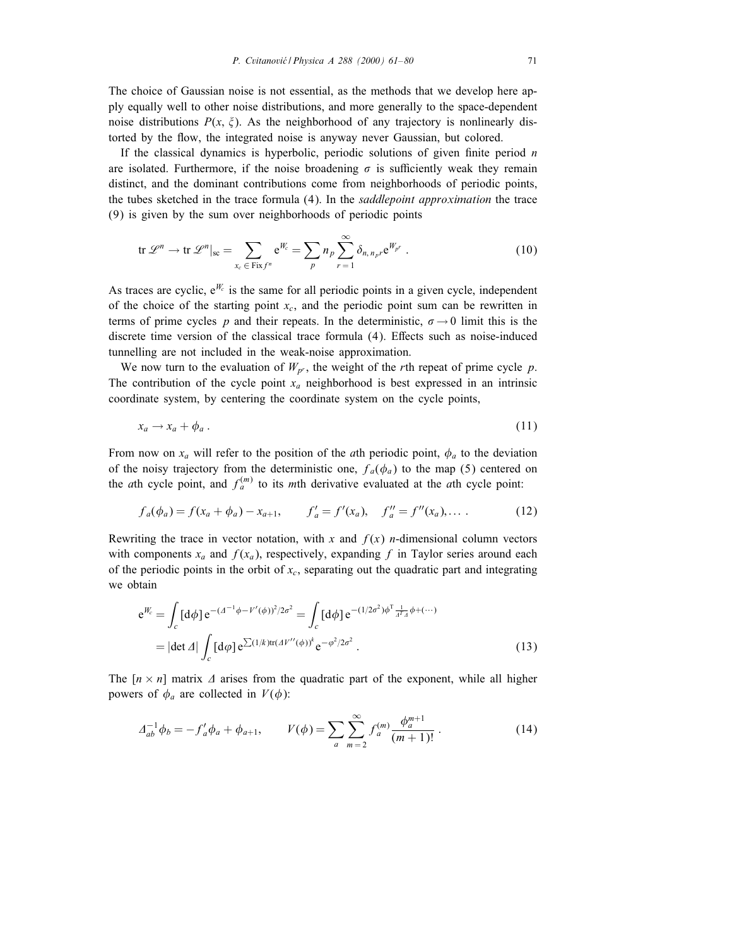The choice of Gaussian noise is not essential, as the methods that we develop here apply equally well to other noise distributions, and more generally to the space-dependent noise distributions  $P(x, \xi)$ . As the neighborhood of any trajectory is nonlinearly distorted by the flow, the integrated noise is anyway never Gaussian, but colored.

If the classical dynamics is hyperbolic, periodic solutions of given finite period  $n$ are isolated. Furthermore, if the noise broadening  $\sigma$  is sufficiently weak they remain distinct, and the dominant contributions come from neighborhoods of periodic points, the tubes sketched in the trace formula (4). In the *saddlepoint approximation* the trace (9) is given by the sum over neighborhoods of periodic points

$$
\operatorname{tr} \mathscr{L}^n \to \operatorname{tr} \mathscr{L}^n|_{\operatorname{sc}} = \sum_{x_c \in \operatorname{Fix} f^n} e^{W_c} = \sum_p n_p \sum_{r=1}^{\infty} \delta_{n, n_p r} e^{W_{p^r}}.
$$
 (10)

As traces are cyclic,  $e^{W_c}$  is the same for all periodic points in a given cycle, independent of the choice of the starting point  $x_c$ , and the periodic point sum can be rewritten in terms of prime cycles p and their repeats. In the deterministic,  $\sigma \rightarrow 0$  limit this is the discrete time version of the classical trace formula  $(4)$ . Effects such as noise-induced tunnelling are not included in the weak-noise approximation.

We now turn to the evaluation of  $W_{p^r}$ , the weight of the rth repeat of prime cycle p. The contribution of the cycle point  $x_a$  neighborhood is best expressed in an intrinsic coordinate system, by centering the coordinate system on the cycle points,

$$
x_a \to x_a + \phi_a \,. \tag{11}
$$

From now on  $x_a$  will refer to the position of the *a*th periodic point,  $\phi_a$  to the deviation of the noisy trajectory from the deterministic one,  $f_a(\phi_a)$  to the map (5) centered on the *ath* cycle point, and  $f_a^{(m)}$  to its *mth* derivative evaluated at the *ath* cycle point:

$$
f_a(\phi_a) = f(x_a + \phi_a) - x_{a+1}, \qquad f'_a = f'(x_a), \quad f''_a = f''(x_a), \dots \tag{12}
$$

Rewriting the trace in vector notation, with x and  $f(x)$  n-dimensional column vectors with components  $x_a$  and  $f(x_a)$ , respectively, expanding f in Taylor series around each of the periodic points in the orbit of  $x_c$ , separating out the quadratic part and integrating we obtain

$$
e^{W_c} = \int_c [d\phi] e^{-(\Delta^{-1}\phi - V'(\phi))^2/2\sigma^2} = \int_c [d\phi] e^{-(1/2\sigma^2)\phi^T \frac{1}{\Delta^T \Delta} \phi + (\cdots)}
$$
  
= 
$$
|\det \Delta| \int_c [d\phi] e^{\sum (1/k)tr(\Delta V''(\phi))^k} e^{-\phi^2/2\sigma^2}.
$$
 (13)

The  $[n \times n]$  matrix  $\Delta$  arises from the quadratic part of the exponent, while all higher powers of  $\phi_a$  are collected in  $V(\phi)$ :

$$
\Delta_{ab}^{-1} \phi_b = -f'_a \phi_a + \phi_{a+1}, \qquad V(\phi) = \sum_{a} \sum_{m=2}^{\infty} f_a^{(m)} \frac{\phi_a^{m+1}}{(m+1)!} \,. \tag{14}
$$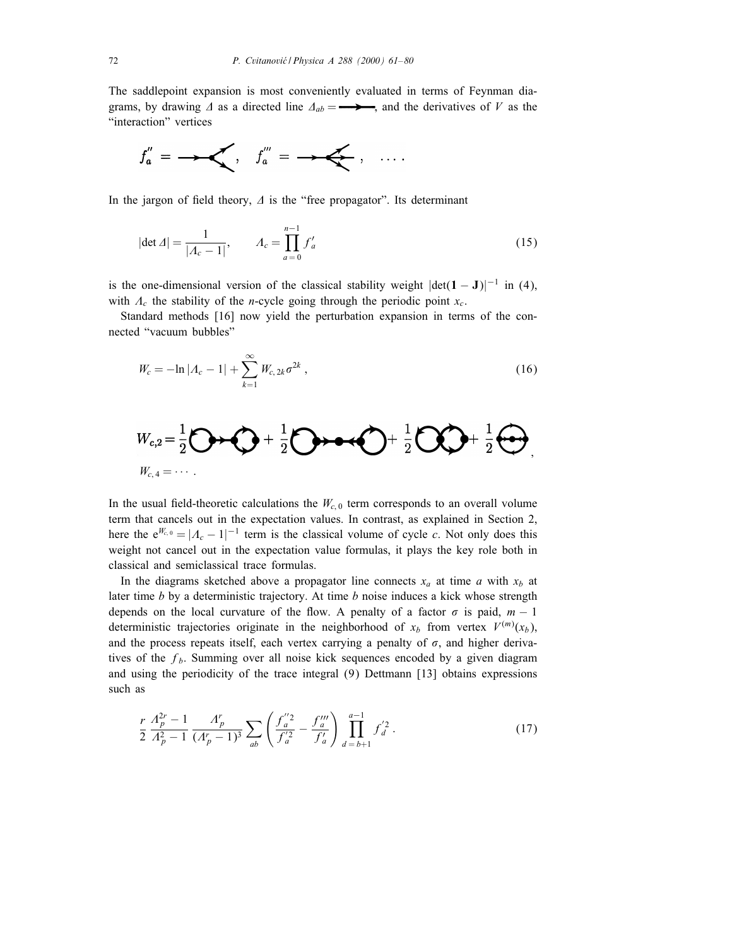The saddlepoint expansion is most conveniently evaluated in terms of Feynman diagrams, by drawing  $\Delta$  as a directed line  $\Delta_{ab} = \longrightarrow$ , and the derivatives of V as the "interaction" vertices



In the jargon of field theory,  $\Delta$  is the "free propagator". Its determinant

$$
|\det \Delta| = \frac{1}{|A_c - 1|}, \qquad A_c = \prod_{a=0}^{n-1} f'_a \tag{15}
$$

is the one-dimensional version of the classical stability weight  $|\text{det}(\mathbf{1}-\mathbf{J})|^{-1}$  in (4), with  $A_c$  the stability of the *n*-cycle going through the periodic point  $x_c$ .

Standard methods [16] now yield the perturbation expansion in terms of the connected "vacuum bubbles"

$$
W_c = -\ln|A_c - 1| + \sum_{k=1}^{\infty} W_{c, 2k} \sigma^{2k}, \qquad (16)
$$

$$
W_{c,2} = \frac{1}{2}\bigodot \rightarrow \bigodot + \frac{1}{2}\bigodot \rightarrow \rightarrow \bigodot + \frac{1}{2}\bigodot \bigodot + \frac{1}{2}\bigodot,
$$
  

$$
W_{c,4} = \cdots
$$

In the usual field-theoretic calculations the  $W_{c,0}$  term corresponds to an overall volume term that cancels out in the expectation values. In contrast, as explained in Section 2, here the  $e^{W_{c,0}} = |A_c - 1|^{-1}$  term is the classical volume of cycle c. Not only does this weight not cancel out in the expectation value formulas, it plays the key role both in classical and semiclassical trace formulas.

In the diagrams sketched above a propagator line connects  $x_a$  at time a with  $x_b$  at later time  $b$  by a deterministic trajectory. At time  $b$  noise induces a kick whose strength depends on the local curvature of the flow. A penalty of a factor  $\sigma$  is paid,  $m - 1$ deterministic trajectories originate in the neighborhood of  $x_b$  from vertex  $V^{(m)}(x_b)$ , and the process repeats itself, each vertex carrying a penalty of  $\sigma$ , and higher derivatives of the  $f<sub>b</sub>$ . Summing over all noise kick sequences encoded by a given diagram and using the periodicity of the trace integral (9) Dettmann [13] obtains expressions such as

$$
\frac{r}{2} \frac{A_p^{2r} - 1}{A_p^2 - 1} \frac{A_p^r}{(A_p^r - 1)^3} \sum_{ab} \left( \frac{f_a^{"2}}{f_a^{'2}} - \frac{f_a^{"n}}{f_a^{'}} \right) \prod_{d=b+1}^{a-1} f_d^{'2} \,. \tag{17}
$$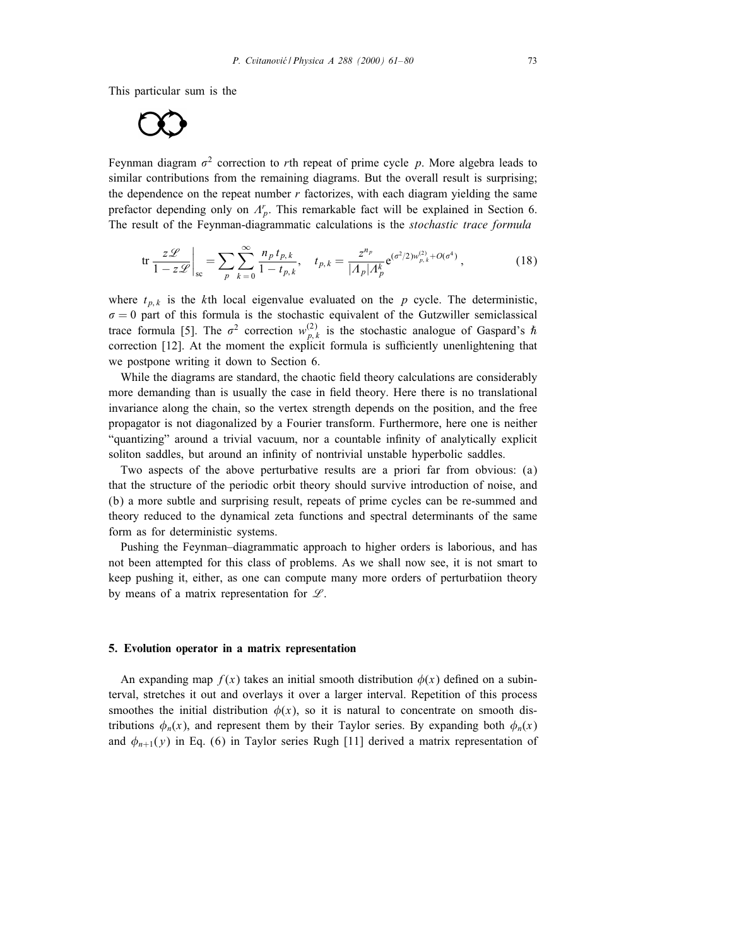This particular sum is the

$$
\bigcirc \bigcirc
$$

Feynman diagram  $\sigma^2$  correction to rth repeat of prime cycle p. More algebra leads to similar contributions from the remaining diagrams. But the overall result is surprising; the dependence on the repeat number  $r$  factorizes, with each diagram yielding the same prefactor depending only on  $A_p^r$ . This remarkable fact will be explained in Section 6. The result of the Feynman-diagrammatic calculations is the *stochastic trace formula* 

$$
\text{tr}\,\frac{z\mathcal{L}}{1-z\mathcal{L}}\bigg|_{\text{sc}} = \sum_{p} \sum_{k=0}^{\infty} \frac{n_p \, t_{p,k}}{1-t_{p,k}}, \quad t_{p,k} = \frac{z^{n_p}}{|A_p|A_p^k} e^{(\sigma^2/2) w_{p,k}^{(2)} + O(\sigma^4)},\tag{18}
$$

where  $t_{p,k}$  is the kth local eigenvalue evaluated on the p cycle. The deterministic,  $\sigma = 0$  part of this formula is the stochastic equivalent of the Gutzwiller semiclassical trace formula [5]. The  $\sigma^2$  correction  $w_{p,k}^{(2)}$  is the stochastic analogue of Gaspard's  $\hbar$ correction [12]. At the moment the explicit formula is sufficiently unenlightening that we postpone writing it down to Section 6.

While the diagrams are standard, the chaotic field theory calculations are considerably more demanding than is usually the case in field theory. Here there is no translational invariance along the chain, so the vertex strength depends on the position, and the free propagator is not diagonalized by a Fourier transform. Furthermore, here one is neither "quantizing" around a trivial vacuum, nor a countable innity of analytically explicit soliton saddles, but around an infinity of nontrivial unstable hyperbolic saddles.

Two aspects of the above perturbative results are a priori far from obvious: (a) that the structure of the periodic orbit theory should survive introduction of noise, and (b) a more subtle and surprising result, repeats of prime cycles can be re-summed and theory reduced to the dynamical zeta functions and spectral determinants of the same form as for deterministic systems.

Pushing the Feynman–diagrammatic approach to higher orders is laborious, and has not been attempted for this class of problems. As we shall now see, it is not smart to keep pushing it, either, as one can compute many more orders of perturbatiion theory by means of a matrix representation for  $\mathscr{L}$ .

# 5. Evolution operator in a matrix representation

An expanding map  $f(x)$  takes an initial smooth distribution  $\phi(x)$  defined on a subinterval, stretches it out and overlays it over a larger interval. Repetition of this process smoothes the initial distribution  $\phi(x)$ , so it is natural to concentrate on smooth distributions  $\phi_n(x)$ , and represent them by their Taylor series. By expanding both  $\phi_n(x)$ and  $\phi_{n+1}(y)$  in Eq. (6) in Taylor series Rugh [11] derived a matrix representation of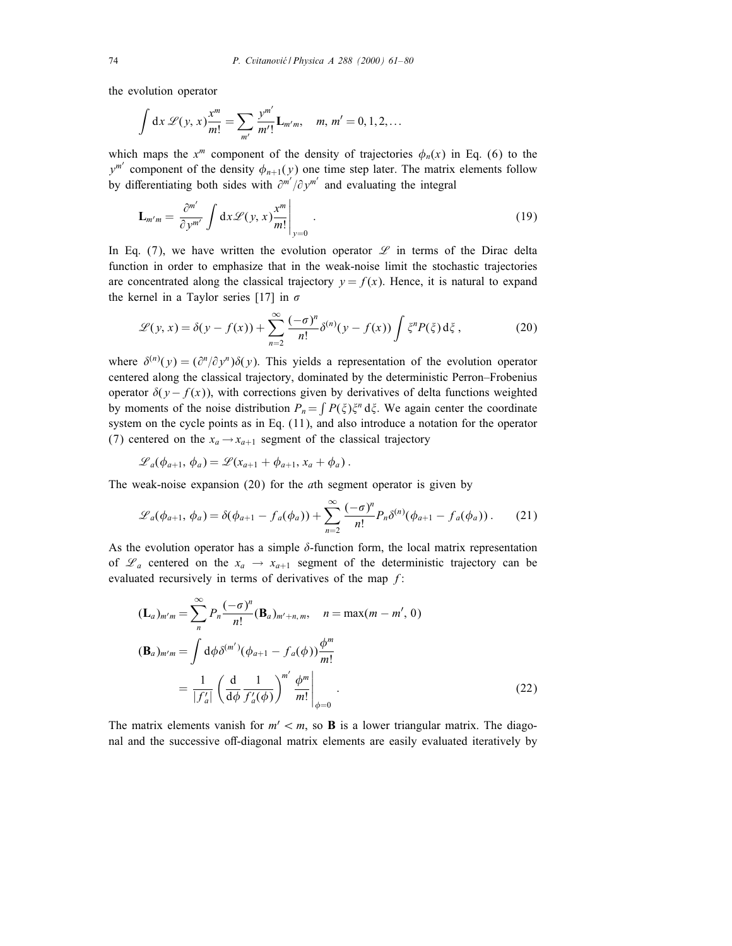the evolution operator

$$
\int dx \, \mathscr{L}(y, x) \frac{x^m}{m!} = \sum_{m'} \frac{y^{m'}}{m'!} \mathbf{L}_{m'm}, \quad m, m' = 0, 1, 2, \dots
$$

which maps the  $x^m$  component of the density of trajectories  $\phi_n(x)$  in Eq. (6) to the  $y^{m'}$  component of the density  $\phi_{n+1}(y)$  one time step later. The matrix elements follow by differentiating both sides with  $\partial^{m'}/\partial y^{m'}$  and evaluating the integral

$$
\mathbf{L}_{m'm} = \left. \frac{\partial^{m'}}{\partial y^{m'}} \int \mathrm{d}x \mathcal{L}(y, x) \frac{x^m}{m!} \right|_{y=0} . \tag{19}
$$

In Eq. (7), we have written the evolution operator  $\mathscr L$  in terms of the Dirac delta function in order to emphasize that in the weak-noise limit the stochastic trajectories are concentrated along the classical trajectory  $y = f(x)$ . Hence, it is natural to expand the kernel in a Taylor series [17] in  $\sigma$ 

$$
\mathcal{L}(y, x) = \delta(y - f(x)) + \sum_{n=2}^{\infty} \frac{(-\sigma)^n}{n!} \delta^{(n)}(y - f(x)) \int \xi^n P(\xi) d\xi,
$$
 (20)

where  $\delta^{(n)}(y) = (\partial^n/\partial y^n)\delta(y)$ . This yields a representation of the evolution operator centered along the classical trajectory, dominated by the deterministic Perron–Frobenius operator  $\delta(y - f(x))$ , with corrections given by derivatives of delta functions weighted by moments of the noise distribution  $P_n = \int P(\xi) \xi^n d\xi$ . We again center the coordinate system on the cycle points as in Eq. (11), and also introduce a notation for the operator (7) centered on the  $x_a \rightarrow x_{a+1}$  segment of the classical trajectory

$$
\mathscr{L}_a(\phi_{a+1},\,\phi_a)=\mathscr{L}(x_{a+1}+\phi_{a+1},\,x_a+\phi_a)\,.
$$

The weak-noise expansion (20) for the ath segment operator is given by

$$
\mathscr{L}_a(\phi_{a+1}, \phi_a) = \delta(\phi_{a+1} - f_a(\phi_a)) + \sum_{n=2}^{\infty} \frac{(-\sigma)^n}{n!} P_n \delta^{(n)}(\phi_{a+1} - f_a(\phi_a)). \tag{21}
$$

As the evolution operator has a simple  $\delta$ -function form, the local matrix representation of  $\mathcal{L}_a$  centered on the  $x_a \rightarrow x_{a+1}$  segment of the deterministic trajectory can be evaluated recursively in terms of derivatives of the map  $f$ :

$$
(\mathbf{L}_a)_{m'm} = \sum_{n}^{\infty} P_n \frac{(-\sigma)^n}{n!} (\mathbf{B}_a)_{m'+n,m}, \quad n = \max(m-m', 0)
$$
  

$$
(\mathbf{B}_a)_{m'm} = \int d\phi \delta^{(m')} (\phi_{a+1} - f_a(\phi)) \frac{\phi^m}{m!}
$$
  

$$
= \frac{1}{|f'_a|} \left( \frac{d}{d\phi} \frac{1}{f'_a(\phi)} \right)^{m'} \frac{\phi^m}{m!} \Big|_{\phi=0}.
$$
 (22)

The matrix elements vanish for  $m' < m$ , so **B** is a lower triangular matrix. The diagonal and the successive off-diagonal matrix elements are easily evaluated iteratively by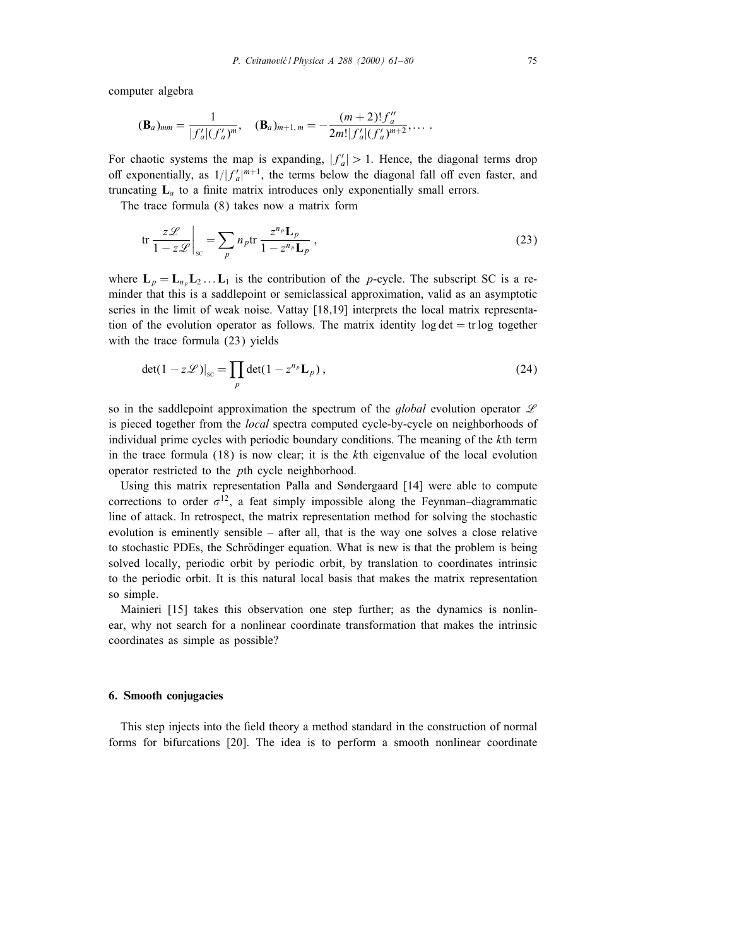computer algebra

$$
(\mathbf{B}_a)_{mm} = \frac{1}{|f'_a|(f'_a)^m}, \quad (\mathbf{B}_a)_{m+1,m} = -\frac{(m+2)!f''_a}{2m!|f'_a|(f'_a)^{m+2}}, \ldots
$$

For chaotic systems the map is expanding,  $|f'_a| > 1$ . Hence, the diagonal terms drop off exponentially, as  $1/|f_a'|^{m+1}$ , the terms below the diagonal fall off even faster, and truncating  $L_a$  to a finite matrix introduces only exponentially small errors.

The trace formula (8) takes now a matrix form

$$
\text{tr}\,\frac{z\mathcal{L}}{1-z\mathcal{L}}\bigg|_{\text{sc}} = \sum_{p} n_p \text{tr}\,\frac{z^{n_p} \mathbf{L}_p}{1-z^{n_p} \mathbf{L}_p} \,,\tag{23}
$$

where  $L_p = L_{n_p} L_2 \dots L_1$  is the contribution of the p-cycle. The subscript SC is a reminder that this is a saddlepoint or semiclassical approximation, valid as an asymptotic series in the limit of weak noise. Vattay [18,19] interprets the local matrix representation of the evolution operator as follows. The matrix identity log  $\det$  = tr log together with the trace formula (23) yields

$$
\det(1 - z\mathcal{L})|_{\rm sc} = \prod_p \det(1 - z^{n_p} \mathbf{L}_p),\tag{24}
$$

so in the saddlepoint approximation the spectrum of the *global* evolution operator  $\mathscr L$ is pieced together from the *local* spectra computed cycle-by-cycle on neighborhoods of individual prime cycles with periodic boundary conditions. The meaning of the  $k$ th term in the trace formula  $(18)$  is now clear; it is the kth eigenvalue of the local evolution operator restricted to the pth cycle neighborhood.

Using this matrix representation Palla and Søndergaard  $[14]$  were able to compute corrections to order  $\sigma^{12}$ , a feat simply impossible along the Feynman–diagrammatic line of attack. In retrospect, the matrix representation method for solving the stochastic evolution is eminently sensible – after all, that is the way one solves a close relative to stochastic PDEs, the Schrödinger equation. What is new is that the problem is being solved locally, periodic orbit by periodic orbit, by translation to coordinates intrinsic to the periodic orbit. It is this natural local basis that makes the matrix representation so simple.

Mainieri [15] takes this observation one step further; as the dynamics is nonlinear, why not search for a nonlinear coordinate transformation that makes the intrinsic coordinates as simple as possible?

### 6. Smooth conjugacies

This step injects into the field theory a method standard in the construction of normal forms for bifurcations [20]. The idea is to perform a smooth nonlinear coordinate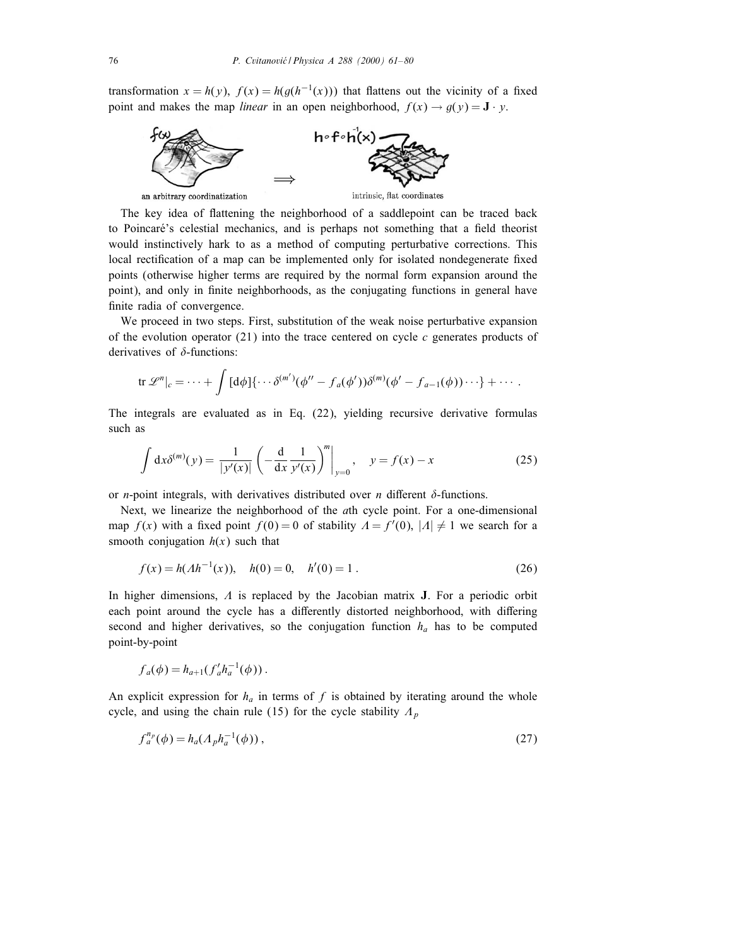transformation  $x = h(y)$ ,  $f(x) = h(g(h^{-1}(x)))$  that flattens out the vicinity of a fixed point and makes the map *linear* in an open neighborhood,  $f(x) \rightarrow g(y) = \mathbf{J} \cdot y$ .



The key idea of flattening the neighborhood of a saddlepoint can be traced back to Poincaré's celestial mechanics, and is perhaps not something that a field theorist would instinctively hark to as a method of computing perturbative corrections. This local rectification of a map can be implemented only for isolated nondegenerate fixed points (otherwise higher terms are required by the normal form expansion around the point), and only in finite neighborhoods, as the conjugating functions in general have finite radia of convergence.

We proceed in two steps. First, substitution of the weak noise perturbative expansion of the evolution operator (21) into the trace centered on cycle c generates products of derivatives of  $\delta$ -functions:

$$
\text{tr }\mathscr{L}^n|_c = \cdots + \int [d\phi] \{ \cdots \delta^{(m')}(\phi'' - f_a(\phi')) \delta^{(m)}(\phi' - f_{a-1}(\phi)) \cdots \} + \cdots.
$$

The integrals are evaluated as in Eq. (22), yielding recursive derivative formulas such as

$$
\int dx \delta^{(m)}(y) = \frac{1}{|y'(x)|} \left( -\frac{d}{dx} \frac{1}{y'(x)} \right)^m \Big|_{y=0}, \quad y = f(x) - x \tag{25}
$$

or *n*-point integrals, with derivatives distributed over *n* different  $\delta$ -functions.

Next, we linearize the neighborhood of the ath cycle point. For a one-dimensional map  $f(x)$  with a fixed point  $f(0) = 0$  of stability  $\Lambda = f'(0)$ ,  $|\Lambda| \neq 1$  we search for a smooth conjugation  $h(x)$  such that

$$
f(x) = h(Ah^{-1}(x)), \quad h(0) = 0, \quad h'(0) = 1.
$$
 (26)

In higher dimensions,  $\Lambda$  is replaced by the Jacobian matrix **J**. For a periodic orbit each point around the cycle has a differently distorted neighborhood, with differing second and higher derivatives, so the conjugation function  $h_a$  has to be computed point-by-point

$$
f_a(\phi) = h_{a+1}(f'_a h_a^{-1}(\phi)).
$$

An explicit expression for  $h_a$  in terms of f is obtained by iterating around the whole cycle, and using the chain rule (15) for the cycle stability  $A_p$ 

$$
f_a^{n_p}(\phi) = h_a(\Lambda_p h_a^{-1}(\phi)), \qquad (27)
$$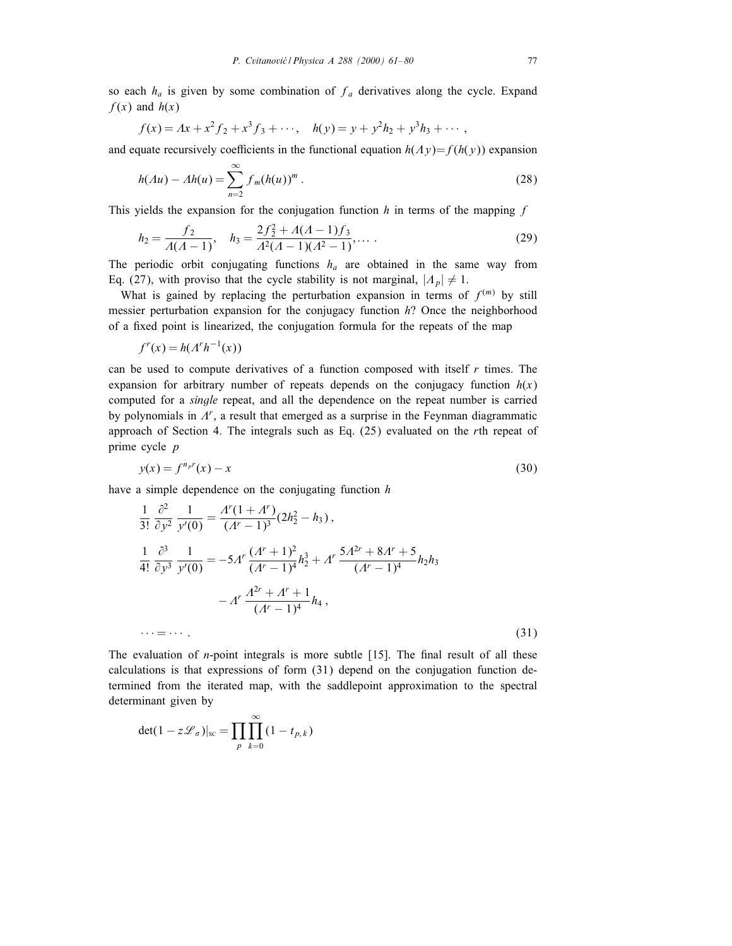so each  $h_a$  is given by some combination of  $f_a$  derivatives along the cycle. Expand  $f(x)$  and  $h(x)$ 

$$
f(x) = Ax + x2 f2 + x3 f3 + \cdots, \quad h(y) = y + y2 h2 + y3 h3 + \cdots,
$$

and equate recursively coefficients in the functional equation  $h(\Lambda y)=f(h(y))$  expansion

$$
h(\Lambda u) - \Lambda h(u) = \sum_{n=2}^{\infty} f_m(h(u))^m.
$$
 (28)

This yields the expansion for the conjugation function  $h$  in terms of the mapping  $f$ 

$$
h_2 = \frac{f_2}{\Lambda(\Lambda - 1)}, \quad h_3 = \frac{2f_2^2 + \Lambda(\Lambda - 1)f_3}{\Lambda^2(\Lambda - 1)(\Lambda^2 - 1)}, \dots \tag{29}
$$

The periodic orbit conjugating functions  $h_a$  are obtained in the same way from Eq. (27), with proviso that the cycle stability is not marginal,  $|A_p| \neq 1$ .

What is gained by replacing the perturbation expansion in terms of  $f^{(m)}$  by still messier perturbation expansion for the conjugacy function  $h$ ? Once the neighborhood of a fixed point is linearized, the conjugation formula for the repeats of the map

$$
f^r(x) = h(\Lambda^r h^{-1}(x))
$$

can be used to compute derivatives of a function composed with itself  $r$  times. The expansion for arbitrary number of repeats depends on the conjugacy function  $h(x)$ computed for a single repeat, and all the dependence on the repeat number is carried by polynomials in  $\Lambda^r$ , a result that emerged as a surprise in the Feynman diagrammatic approach of Section 4. The integrals such as Eq. (25) evaluated on the rth repeat of prime cycle *p* 

$$
y(x) = f^{n_p r}(x) - x \tag{30}
$$

have a simple dependence on the conjugating function  $h$ 

$$
\frac{1}{3!} \frac{\partial^2}{\partial y^2} \frac{1}{y'(0)} = \frac{A^r (1 + A^r)}{(A^r - 1)^3} (2h_2^2 - h_3),
$$
  

$$
\frac{1}{4!} \frac{\partial^3}{\partial y^3} \frac{1}{y'(0)} = -5A^r \frac{(A^r + 1)^2}{(A^r - 1)^4} h_2^3 + A^r \frac{5A^{2r} + 8A^r + 5}{(A^r - 1)^4} h_2 h_3
$$
  

$$
-A^r \frac{A^{2r} + A^r + 1}{(A^r - 1)^4} h_4,
$$
  
... = ... (31)

The evaluation of  $n$ -point integrals is more subtle [15]. The final result of all these calculations is that expressions of form (31) depend on the conjugation function determined from the iterated map, with the saddlepoint approximation to the spectral determinant given by

$$
\det(1 - z\mathscr{L}_{\sigma})|_{\rm sc} = \prod_{p} \prod_{k=0}^{\infty} (1 - t_{p,k})
$$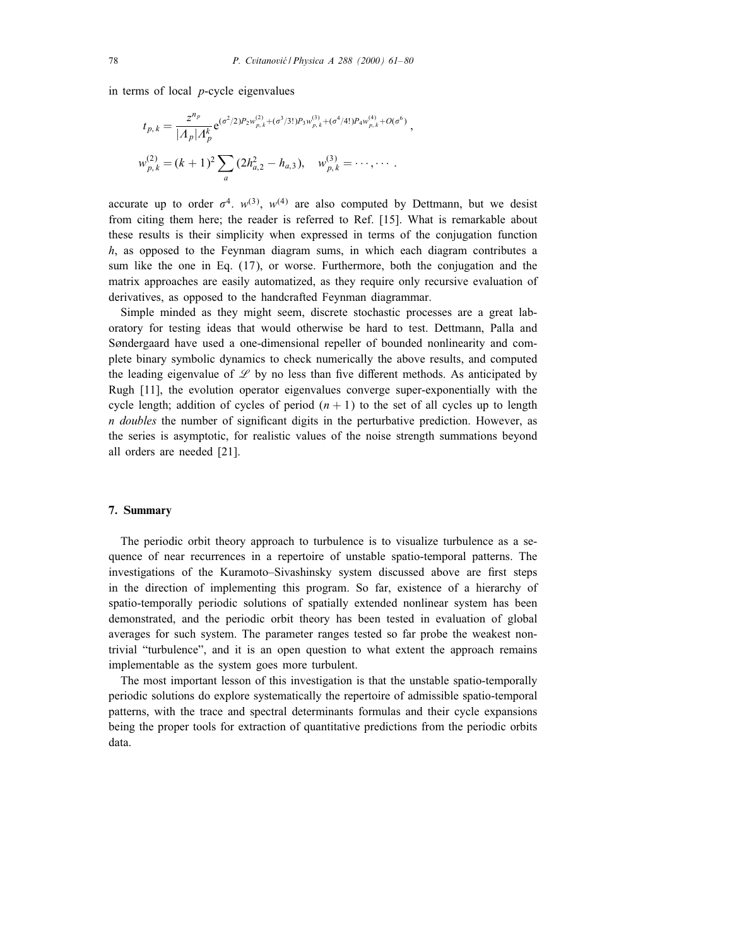in terms of local  $p$ -cycle eigenvalues

$$
t_{p,k} = \frac{z^{n_p}}{|A_p|A_p^k} e^{(\sigma^2/2)P_2 w_{p,k}^{(2)} + (\sigma^3/3!)P_3 w_{p,k}^{(3)} + (\sigma^4/4!)P_4 w_{p,k}^{(4)} + O(\sigma^6)},
$$
  

$$
w_{p,k}^{(2)} = (k+1)^2 \sum_a (2h_{a,2}^2 - h_{a,3}), \quad w_{p,k}^{(3)} = \cdots, \cdots.
$$

accurate up to order  $\sigma^4$ .  $w^{(3)}$ ,  $w^{(4)}$  are also computed by Dettmann, but we desist from citing them here; the reader is referred to Ref. [15]. What is remarkable about these results is their simplicity when expressed in terms of the conjugation function h, as opposed to the Feynman diagram sums, in which each diagram contributes a sum like the one in Eq. (17), or worse. Furthermore, both the conjugation and the matrix approaches are easily automatized, as they require only recursive evaluation of derivatives, as opposed to the handcrafted Feynman diagrammar.

Simple minded as they might seem, discrete stochastic processes are a great laboratory for testing ideas that would otherwise be hard to test. Dettmann, Palla and Søndergaard have used a one-dimensional repeller of bounded nonlinearity and complete binary symbolic dynamics to check numerically the above results, and computed the leading eigenvalue of  $\mathscr L$  by no less than five different methods. As anticipated by Rugh [11], the evolution operator eigenvalues converge super-exponentially with the cycle length; addition of cycles of period  $(n + 1)$  to the set of all cycles up to length n doubles the number of signicant digits in the perturbative prediction. However, as the series is asymptotic, for realistic values of the noise strength summations beyond all orders are needed [21].

# 7. Summary

The periodic orbit theory approach to turbulence is to visualize turbulence as a sequence of near recurrences in a repertoire of unstable spatio-temporal patterns. The investigations of the Kuramoto-Sivashinsky system discussed above are first steps in the direction of implementing this program. So far, existence of a hierarchy of spatio-temporally periodic solutions of spatially extended nonlinear system has been demonstrated, and the periodic orbit theory has been tested in evaluation of global averages for such system. The parameter ranges tested so far probe the weakest nontrivial "turbulence", and it is an open question to what extent the approach remains implementable as the system goes more turbulent.

The most important lesson of this investigation is that the unstable spatio-temporally periodic solutions do explore systematically the repertoire of admissible spatio-temporal patterns, with the trace and spectral determinants formulas and their cycle expansions being the proper tools for extraction of quantitative predictions from the periodic orbits data.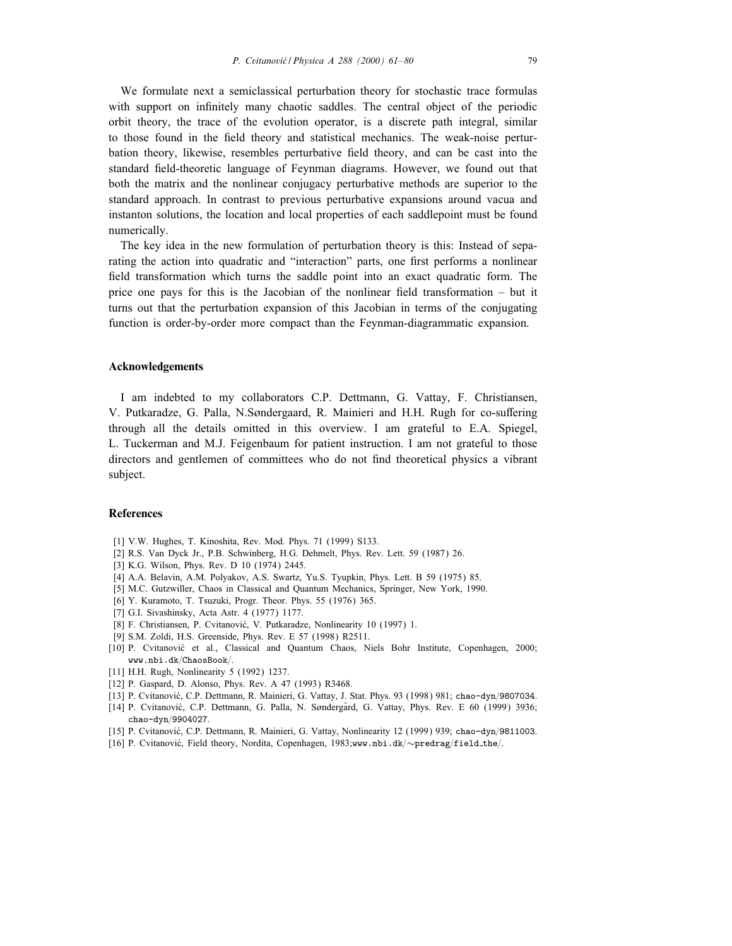We formulate next a semiclassical perturbation theory for stochastic trace formulas with support on infinitely many chaotic saddles. The central object of the periodic orbit theory, the trace of the evolution operator, is a discrete path integral, similar to those found in the field theory and statistical mechanics. The weak-noise perturbation theory, likewise, resembles perturbative field theory, and can be cast into the standard field-theoretic language of Feynman diagrams. However, we found out that both the matrix and the nonlinear conjugacy perturbative methods are superior to the standard approach. In contrast to previous perturbative expansions around vacua and instanton solutions, the location and local properties of each saddlepoint must be found numerically.

The key idea in the new formulation of perturbation theory is this: Instead of separating the action into quadratic and "interaction" parts, one first performs a nonlinear field transformation which turns the saddle point into an exact quadratic form. The price one pays for this is the Jacobian of the nonlinear field transformation  $-$  but it turns out that the perturbation expansion of this Jacobian in terms of the conjugating function is order-by-order more compact than the Feynman-diagrammatic expansion.

## Acknowledgements

I am indebted to my collaborators C.P. Dettmann, G. Vattay, F. Christiansen, V. Putkaradze, G. Palla, N.Søndergaard, R. Mainieri and H.H. Rugh for co-suffering through all the details omitted in this overview. I am grateful to E.A. Spiegel, L. Tuckerman and M.J. Feigenbaum for patient instruction. I am not grateful to those directors and gentlemen of committees who do not find theoretical physics a vibrant subject.

## References

- [1] V.W. Hughes, T. Kinoshita, Rev. Mod. Phys. 71 (1999) S133.
- [2] R.S. Van Dyck Jr., P.B. Schwinberg, H.G. Dehmelt, Phys. Rev. Lett. 59 (1987) 26.
- [3] K.G. Wilson, Phys. Rev. D 10 (1974) 2445.
- [4] A.A. Belavin, A.M. Polyakov, A.S. Swartz, Yu.S. Tyupkin, Phys. Lett. B 59 (1975) 85.
- [5] M.C. Gutzwiller, Chaos in Classical and Quantum Mechanics, Springer, New York, 1990.
- [6] Y. Kuramoto, T. Tsuzuki, Progr. Theor. Phys. 55 (1976) 365.
- [7] G.I. Sivashinsky, Acta Astr. 4 (1977) 1177.
- [8] F. Christiansen, P. Cvitanović, V. Putkaradze, Nonlinearity 10 (1997) 1.
- [9] S.M. Zoldi, H.S. Greenside, Phys. Rev. E 57 (1998) R2511.
- [10] P. Cvitanovic et al., Classical and Quantum Chaos, Niels Bohr Institute, Copenhagen, 2000;  ${\tt www.nbi.dk/ChaosBook/}.$
- [11] H.H. Rugh, Nonlinearity 5 (1992) 1237.
- [12] P. Gaspard, D. Alonso, Phys. Rev. A 47 (1993) R3468.
- [13] P. Cvitanović, C.P. Dettmann, R. Mainieri, G. Vattay, J. Stat. Phys. 93 (1998) 981; chao-dyn/9807034.
- [14] P. Cvitanović, C.P. Dettmann, G. Palla, N. Søndergård, G. Vattay, Phys. Rev. E 60 (1999) 3936; chao-dyn/9904027.
- [15] P. Cvitanovic, C.P. Dettmann, R. Mainieri, G. Vattay, Nonlinearity 12 (1999) 939; chao-dyn=9811003.
- [16] P. Cvitanović, Field theory, Nordita, Copenhagen, 1983;www.nbi.dk/∼predrag/field\_the/.